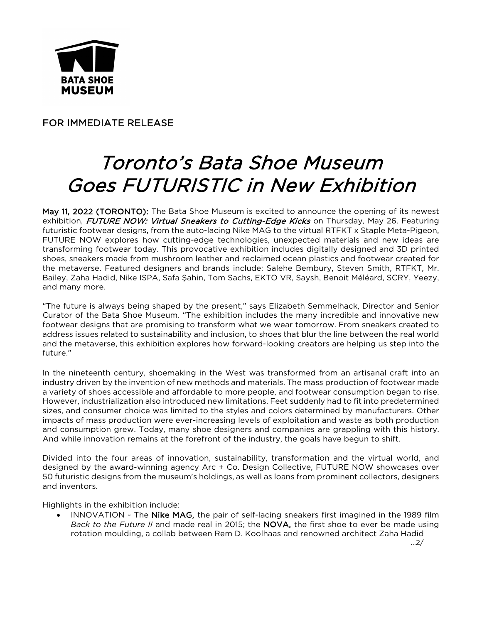

FOR IMMEDIATE RELEASE

## Toronto's Bata Shoe Museum Goes FUTURISTIC in New Exhibition

May 11, 2022 (TORONTO): The Bata Shoe Museum is excited to announce the opening of its newest exhibition, FUTURE NOW: Virtual Sneakers to Cutting-Edge Kicks on Thursday, May 26. Featuring futuristic footwear designs, from the auto-lacing Nike MAG to the virtual RTFKT x Staple Meta-Pigeon, FUTURE NOW explores how cutting-edge technologies, unexpected materials and new ideas are transforming footwear today. This provocative exhibition includes digitally designed and 3D printed shoes, sneakers made from mushroom leather and reclaimed ocean plastics and footwear created for the metaverse. Featured designers and brands include: Salehe Bembury, Steven Smith, RTFKT, Mr. Bailey, Zaha Hadid, Nike ISPA, Safa Şahin, Tom Sachs, EKTO VR, Saysh, Benoit Méléard, SCRY, Yeezy, and many more.

"The future is always being shaped by the present," says Elizabeth Semmelhack, Director and Senior Curator of the Bata Shoe Museum. "The exhibition includes the many incredible and innovative new footwear designs that are promising to transform what we wear tomorrow. From sneakers created to address issues related to sustainability and inclusion, to shoes that blur the line between the real world and the metaverse, this exhibition explores how forward-looking creators are helping us step into the future."

In the nineteenth century, shoemaking in the West was transformed from an artisanal craft into an industry driven by the invention of new methods and materials. The mass production of footwear made a variety of shoes accessible and affordable to more people, and footwear consumption began to rise. However, industrialization also introduced new limitations. Feet suddenly had to fit into predetermined sizes, and consumer choice was limited to the styles and colors determined by manufacturers. Other impacts of mass production were ever-increasing levels of exploitation and waste as both production and consumption grew. Today, many shoe designers and companies are grappling with this history. And while innovation remains at the forefront of the industry, the goals have begun to shift.

Divided into the four areas of innovation, sustainability, transformation and the virtual world, and designed by the award-winning agency Arc + Co. Design Collective, FUTURE NOW showcases over 50 futuristic designs from the museum's holdings, as well as loans from prominent collectors, designers and inventors.

Highlights in the exhibition include:

INNOVATION ~ The Nike MAG, the pair of self-lacing sneakers first imagined in the 1989 film *Back to the Future II* and made real in 2015; the NOVA, the first shoe to ever be made using rotation moulding, a collab between Rem D. Koolhaas and renowned architect Zaha Hadid

…2/